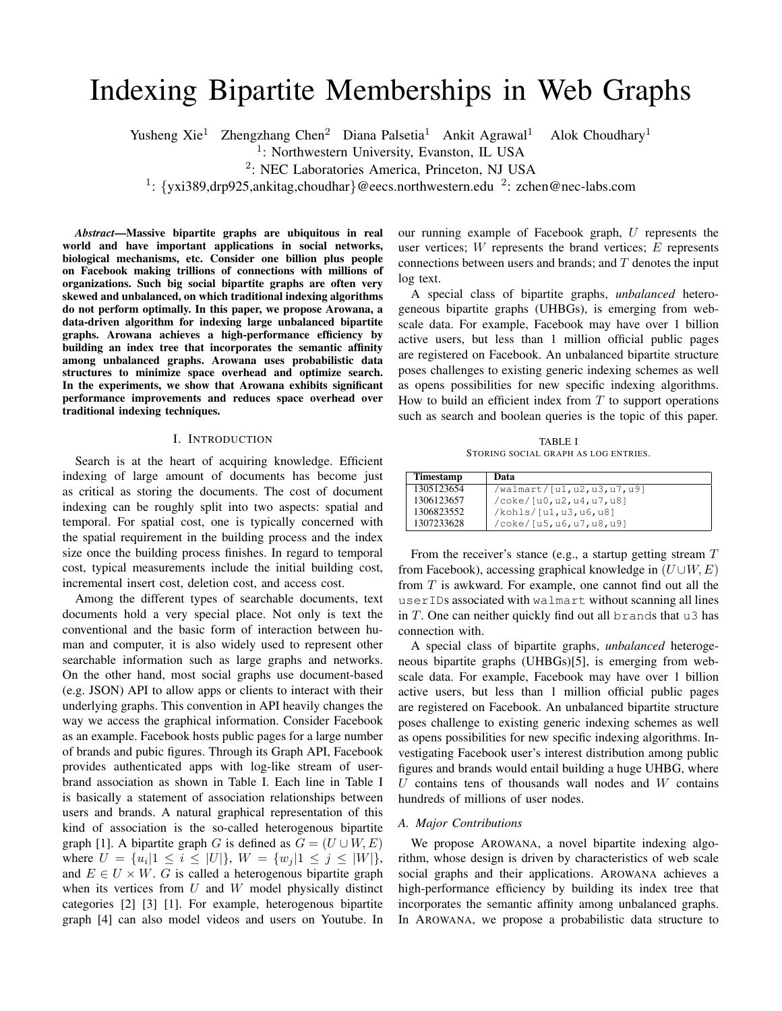# Indexing Bipartite Memberships in Web Graphs

Yusheng Xie<sup>1</sup> Zhengzhang Chen<sup>2</sup> Diana Palsetia<sup>1</sup> Ankit Agrawal<sup>1</sup> Alok Choudhary<sup>1</sup>

<sup>1</sup>: Northwestern University, Evanston, IL USA

2 : NEC Laboratories America, Princeton, NJ USA

<sup>1</sup>: {yxi389,drp925,ankitag,choudhar}@eecs.northwestern.edu <sup>2</sup>: zchen@nec-labs.com

*Abstract*—Massive bipartite graphs are ubiquitous in real world and have important applications in social networks, biological mechanisms, etc. Consider one billion plus people on Facebook making trillions of connections with millions of organizations. Such big social bipartite graphs are often very skewed and unbalanced, on which traditional indexing algorithms do not perform optimally. In this paper, we propose Arowana, a data-driven algorithm for indexing large unbalanced bipartite graphs. Arowana achieves a high-performance efficiency by building an index tree that incorporates the semantic affinity among unbalanced graphs. Arowana uses probabilistic data structures to minimize space overhead and optimize search. In the experiments, we show that Arowana exhibits significant performance improvements and reduces space overhead over traditional indexing techniques.

## I. INTRODUCTION

Search is at the heart of acquiring knowledge. Efficient indexing of large amount of documents has become just as critical as storing the documents. The cost of document indexing can be roughly split into two aspects: spatial and temporal. For spatial cost, one is typically concerned with the spatial requirement in the building process and the index size once the building process finishes. In regard to temporal cost, typical measurements include the initial building cost, incremental insert cost, deletion cost, and access cost.

Among the different types of searchable documents, text documents hold a very special place. Not only is text the conventional and the basic form of interaction between human and computer, it is also widely used to represent other searchable information such as large graphs and networks. On the other hand, most social graphs use document-based (e.g. JSON) API to allow apps or clients to interact with their underlying graphs. This convention in API heavily changes the way we access the graphical information. Consider Facebook as an example. Facebook hosts public pages for a large number of brands and pubic figures. Through its Graph API, Facebook provides authenticated apps with log-like stream of userbrand association as shown in Table I. Each line in Table I is basically a statement of association relationships between users and brands. A natural graphical representation of this kind of association is the so-called heterogenous bipartite graph [1]. A bipartite graph G is defined as  $G = (U \cup W, E)$ where  $U = \{u_i | 1 \le i \le |U|\}, W = \{w_j | 1 \le j \le |W|\},\$ and  $E \in U \times W$ . G is called a heterogenous bipartite graph when its vertices from  $U$  and  $W$  model physically distinct categories [2] [3] [1]. For example, heterogenous bipartite graph [4] can also model videos and users on Youtube. In

our running example of Facebook graph,  $U$  represents the user vertices;  $W$  represents the brand vertices;  $E$  represents connections between users and brands; and  $T$  denotes the input log text.

A special class of bipartite graphs, *unbalanced* heterogeneous bipartite graphs (UHBGs), is emerging from webscale data. For example, Facebook may have over 1 billion active users, but less than 1 million official public pages are registered on Facebook. An unbalanced bipartite structure poses challenges to existing generic indexing schemes as well as opens possibilities for new specific indexing algorithms. How to build an efficient index from  $T$  to support operations such as search and boolean queries is the topic of this paper.

TABLE I STORING SOCIAL GRAPH AS LOG ENTRIES.

| <b>Timestamp</b> | Data                      |
|------------------|---------------------------|
| 1305123654       | /walmart/[u1,u2,u3,u7,u9] |
| 1306123657       | /coke/[u0,u2,u4,u7,u8]    |
| 1306823552       | /kohls/[ul,u3,u6,u8]      |
| 1307233628       | /coke/[u5,u6,u7,u8,u9]    |

From the receiver's stance (e.g., a startup getting stream T from Facebook), accessing graphical knowledge in  $(U \cup W, E)$ from T is awkward. For example, one cannot find out all the userIDs associated with walmart without scanning all lines in  $T$ . One can neither quickly find out all brands that u3 has connection with.

A special class of bipartite graphs, *unbalanced* heterogeneous bipartite graphs (UHBGs)[5], is emerging from webscale data. For example, Facebook may have over 1 billion active users, but less than 1 million official public pages are registered on Facebook. An unbalanced bipartite structure poses challenge to existing generic indexing schemes as well as opens possibilities for new specific indexing algorithms. Investigating Facebook user's interest distribution among public figures and brands would entail building a huge UHBG, where  $U$  contains tens of thousands wall nodes and  $W$  contains hundreds of millions of user nodes.

# *A. Major Contributions*

We propose AROWANA, a novel bipartite indexing algorithm, whose design is driven by characteristics of web scale social graphs and their applications. AROWANA achieves a high-performance efficiency by building its index tree that incorporates the semantic affinity among unbalanced graphs. In AROWANA, we propose a probabilistic data structure to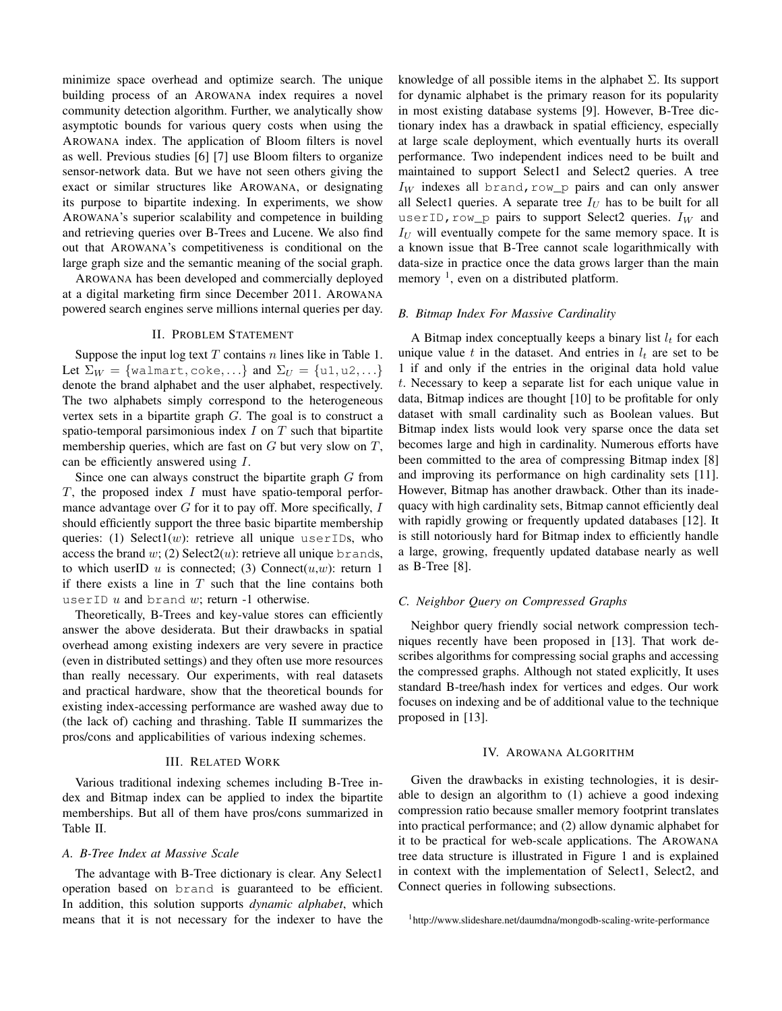minimize space overhead and optimize search. The unique building process of an AROWANA index requires a novel community detection algorithm. Further, we analytically show asymptotic bounds for various query costs when using the AROWANA index. The application of Bloom filters is novel as well. Previous studies [6] [7] use Bloom filters to organize sensor-network data. But we have not seen others giving the exact or similar structures like AROWANA, or designating its purpose to bipartite indexing. In experiments, we show AROWANA's superior scalability and competence in building and retrieving queries over B-Trees and Lucene. We also find out that AROWANA's competitiveness is conditional on the large graph size and the semantic meaning of the social graph.

AROWANA has been developed and commercially deployed at a digital marketing firm since December 2011. AROWANA powered search engines serve millions internal queries per day.

# II. PROBLEM STATEMENT

Suppose the input log text  $T$  contains  $n$  lines like in Table 1. Let  $\Sigma_W = \{\text{walmart}, \text{coke}, \ldots\}$  and  $\Sigma_U = \{u1, u2, \ldots\}$ denote the brand alphabet and the user alphabet, respectively. The two alphabets simply correspond to the heterogeneous vertex sets in a bipartite graph G. The goal is to construct a spatio-temporal parsimonious index  $I$  on  $T$  such that bipartite membership queries, which are fast on  $G$  but very slow on  $T$ , can be efficiently answered using I.

Since one can always construct the bipartite graph  $G$  from  $T$ , the proposed index  $I$  must have spatio-temporal performance advantage over  $G$  for it to pay off. More specifically,  $I$ should efficiently support the three basic bipartite membership queries: (1) Select1 $(w)$ : retrieve all unique userIDs, who access the brand  $w$ ; (2) Select2(u): retrieve all unique brands, to which userID u is connected; (3) Connect $(u, w)$ : return 1 if there exists a line in  $T$  such that the line contains both userID  $u$  and brand  $w$ ; return -1 otherwise.

Theoretically, B-Trees and key-value stores can efficiently answer the above desiderata. But their drawbacks in spatial overhead among existing indexers are very severe in practice (even in distributed settings) and they often use more resources than really necessary. Our experiments, with real datasets and practical hardware, show that the theoretical bounds for existing index-accessing performance are washed away due to (the lack of) caching and thrashing. Table II summarizes the pros/cons and applicabilities of various indexing schemes.

# III. RELATED WORK

Various traditional indexing schemes including B-Tree index and Bitmap index can be applied to index the bipartite memberships. But all of them have pros/cons summarized in Table II.

# *A. B-Tree Index at Massive Scale*

The advantage with B-Tree dictionary is clear. Any Select1 operation based on brand is guaranteed to be efficient. In addition, this solution supports *dynamic alphabet*, which means that it is not necessary for the indexer to have the knowledge of all possible items in the alphabet  $\Sigma$ . Its support for dynamic alphabet is the primary reason for its popularity in most existing database systems [9]. However, B-Tree dictionary index has a drawback in spatial efficiency, especially at large scale deployment, which eventually hurts its overall performance. Two independent indices need to be built and maintained to support Select1 and Select2 queries. A tree  $I_W$  indexes all brand, row\_p pairs and can only answer all Select1 queries. A separate tree  $I_U$  has to be built for all userID, row\_p pairs to support Select2 queries.  $I_W$  and  $I_U$  will eventually compete for the same memory space. It is a known issue that B-Tree cannot scale logarithmically with data-size in practice once the data grows larger than the main memory  $<sup>1</sup>$ , even on a distributed platform.</sup>

# *B. Bitmap Index For Massive Cardinality*

A Bitmap index conceptually keeps a binary list  $l_t$  for each unique value t in the dataset. And entries in  $l_t$  are set to be 1 if and only if the entries in the original data hold value t. Necessary to keep a separate list for each unique value in data, Bitmap indices are thought [10] to be profitable for only dataset with small cardinality such as Boolean values. But Bitmap index lists would look very sparse once the data set becomes large and high in cardinality. Numerous efforts have been committed to the area of compressing Bitmap index [8] and improving its performance on high cardinality sets [11]. However, Bitmap has another drawback. Other than its inadequacy with high cardinality sets, Bitmap cannot efficiently deal with rapidly growing or frequently updated databases [12]. It is still notoriously hard for Bitmap index to efficiently handle a large, growing, frequently updated database nearly as well as B-Tree [8].

# *C. Neighbor Query on Compressed Graphs*

Neighbor query friendly social network compression techniques recently have been proposed in [13]. That work describes algorithms for compressing social graphs and accessing the compressed graphs. Although not stated explicitly, It uses standard B-tree/hash index for vertices and edges. Our work focuses on indexing and be of additional value to the technique proposed in [13].

## IV. AROWANA ALGORITHM

Given the drawbacks in existing technologies, it is desirable to design an algorithm to (1) achieve a good indexing compression ratio because smaller memory footprint translates into practical performance; and (2) allow dynamic alphabet for it to be practical for web-scale applications. The AROWANA tree data structure is illustrated in Figure 1 and is explained in context with the implementation of Select1, Select2, and Connect queries in following subsections.

<sup>1</sup>http://www.slideshare.net/daumdna/mongodb-scaling-write-performance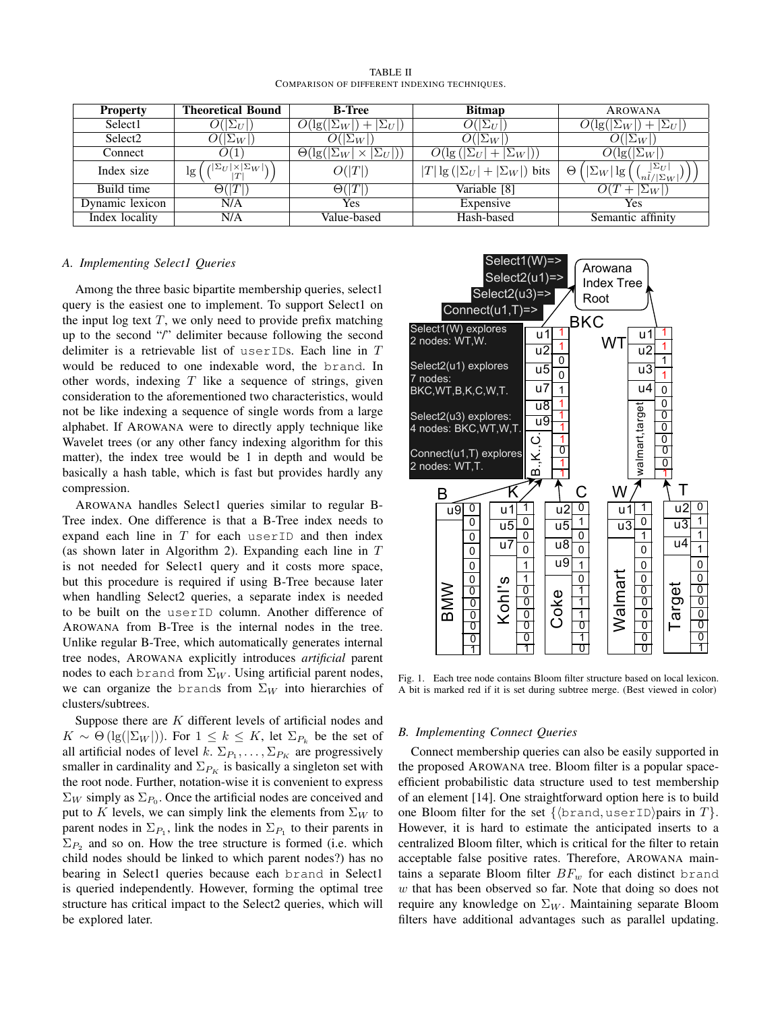| <b>Property</b>     | <b>Theoretical Bound</b>                          | <b>B-Tree</b>                                                      | <b>Bitmap</b>                           | <b>AROWANA</b>                                                   |
|---------------------|---------------------------------------------------|--------------------------------------------------------------------|-----------------------------------------|------------------------------------------------------------------|
| Select1             | $O( \Sigma_U $                                    | $O(\lg( \Sigma_W )+ \Sigma_U )$                                    | $O( \Sigma_U )$                         | $O(\lg( \Sigma_W )+ \Sigma_U )$                                  |
| Select <sub>2</sub> | $O( \Sigma_W )$                                   | $\overline{O( \Sigma_W )}$                                         | $ \Sigma_W $                            | $O( \Sigma_W )$                                                  |
| Connect             | O(1)                                              | $\Theta(\lg( \Sigma_W ))$<br>$\vert \times \vert \Sigma_U \vert$ ) | $ + \Sigma_W )$<br>$O(\lg( \Sigma_U ))$ | $O(\lg( \Sigma_W ))$                                             |
| Index size          | $\sqrt{ \Sigma_U  \times  \Sigma_W }$<br>lg<br> T | O( T )                                                             | $ T \lg( \Sigma_U + \Sigma_W )$ bits    | $ \Sigma_U $<br>lg<br>$ \Sigma_W $<br>Θ<br>$\binom{n}{l} \sum_W$ |
| Build time          | $\Theta( T )$                                     | $\Theta( T )$                                                      | Variable [8]                            | $ \Sigma_W $                                                     |
| Dynamic lexicon     | N/A                                               | Yes                                                                | Expensive                               | Yes                                                              |
| Index locality      | N/A                                               | Value-based                                                        | Hash-based                              | Semantic affinity                                                |

TABLE II COMPARISON OF DIFFERENT INDEXING TECHNIQUES.

# *A. Implementing Select1 Queries*

Among the three basic bipartite membership queries, select1 query is the easiest one to implement. To support Select1 on the input log text  $T$ , we only need to provide prefix matching up to the second "/" delimiter because following the second delimiter is a retrievable list of userIDs. Each line in T would be reduced to one indexable word, the brand. In other words, indexing  $T$  like a sequence of strings, given consideration to the aforementioned two characteristics, would not be like indexing a sequence of single words from a large alphabet. If AROWANA were to directly apply technique like Wavelet trees (or any other fancy indexing algorithm for this matter), the index tree would be 1 in depth and would be basically a hash table, which is fast but provides hardly any compression.

AROWANA handles Select1 queries similar to regular B-Tree index. One difference is that a B-Tree index needs to expand each line in  $T$  for each userID and then index (as shown later in Algorithm 2). Expanding each line in  $T$ is not needed for Select1 query and it costs more space, but this procedure is required if using B-Tree because later when handling Select2 queries, a separate index is needed to be built on the userID column. Another difference of AROWANA from B-Tree is the internal nodes in the tree. Unlike regular B-Tree, which automatically generates internal tree nodes, AROWANA explicitly introduces *artificial* parent nodes to each brand from  $\Sigma_W$ . Using artificial parent nodes, we can organize the brands from  $\Sigma_W$  into hierarchies of clusters/subtrees.

Suppose there are  $K$  different levels of artificial nodes and  $K \sim \Theta(\lg(|\Sigma_W|))$ . For  $1 \leq k \leq K$ , let  $\Sigma_{P_k}$  be the set of all artificial nodes of level  $k$ .  $\Sigma_{P_1}, \dots, \Sigma_{P_K}$  are progressively smaller in cardinality and  $\Sigma_{P_K}$  is basically a singleton set with the root node. Further, notation-wise it is convenient to express  $\Sigma_W$  simply as  $\Sigma_{P_0}$ . Once the artificial nodes are conceived and put to K levels, we can simply link the elements from  $\Sigma_W$  to parent nodes in  $\Sigma_{P_1}$ , link the nodes in  $\Sigma_{P_1}$  to their parents in  $\Sigma_{P_2}$  and so on. How the tree structure is formed (i.e. which child nodes should be linked to which parent nodes?) has no bearing in Select1 queries because each brand in Select1 is queried independently. However, forming the optimal tree structure has critical impact to the Select2 queries, which will be explored later.



Fig. 1. Each tree node contains Bloom filter structure based on local lexicon. A bit is marked red if it is set during subtree merge. (Best viewed in color)

# *B. Implementing Connect Queries*

Connect membership queries can also be easily supported in the proposed AROWANA tree. Bloom filter is a popular spaceefficient probabilistic data structure used to test membership of an element [14]. One straightforward option here is to build one Bloom filter for the set  $\{\langle \text{brand}, \text{userID} \rangle \}$ pairs in  $T\}.$ However, it is hard to estimate the anticipated inserts to a centralized Bloom filter, which is critical for the filter to retain acceptable false positive rates. Therefore, AROWANA maintains a separate Bloom filter  $BF_w$  for each distinct brand  $w$  that has been observed so far. Note that doing so does not require any knowledge on  $\Sigma_W$ . Maintaining separate Bloom filters have additional advantages such as parallel updating.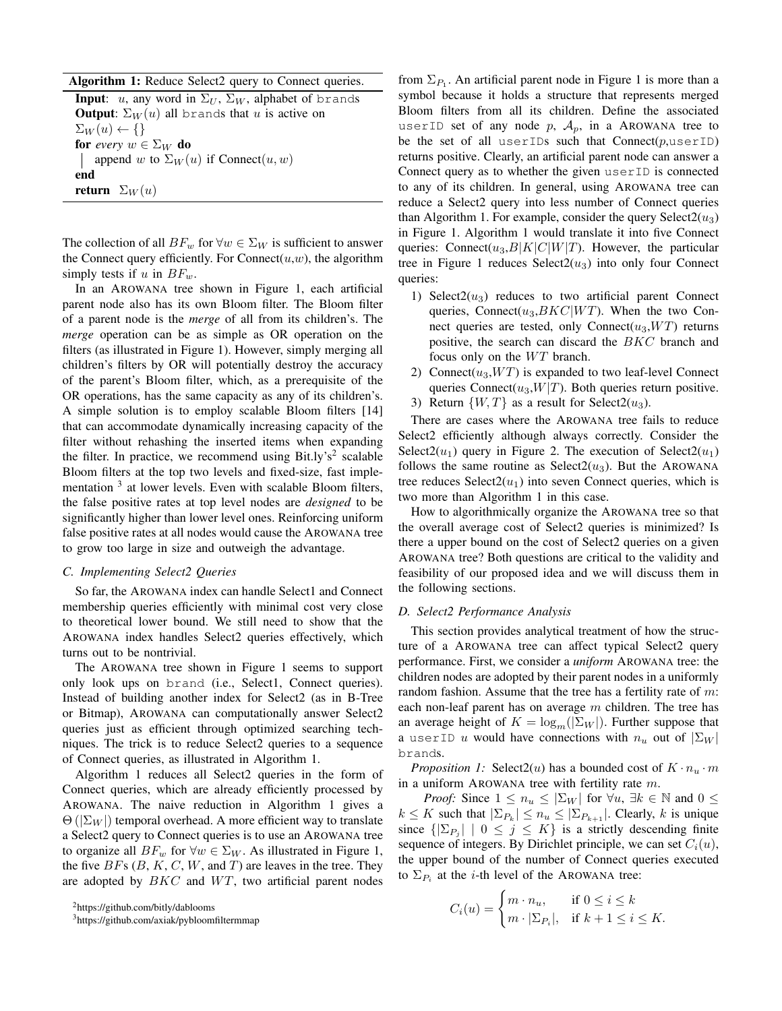| Algorithm 1: Reduce Select2 query to Connect queries. |  |  |  |  |  |  |
|-------------------------------------------------------|--|--|--|--|--|--|
|-------------------------------------------------------|--|--|--|--|--|--|

**Input:** u, any word in  $\Sigma_U$ ,  $\Sigma_W$ , alphabet of brands **Output:**  $\Sigma_W(u)$  all brands that u is active on  $\Sigma_W(u) \leftarrow \{\}$ for *every*  $w \in \Sigma_W$  do | append w to  $\Sigma_W(u)$  if Connect $(u, w)$ end return  $\Sigma_W(u)$ 

The collection of all  $BF_w$  for  $\forall w \in \Sigma_W$  is sufficient to answer the Connect query efficiently. For Connect $(u, w)$ , the algorithm simply tests if u in  $BF_w$ .

In an AROWANA tree shown in Figure 1, each artificial parent node also has its own Bloom filter. The Bloom filter of a parent node is the *merge* of all from its children's. The *merge* operation can be as simple as OR operation on the filters (as illustrated in Figure 1). However, simply merging all children's filters by OR will potentially destroy the accuracy of the parent's Bloom filter, which, as a prerequisite of the OR operations, has the same capacity as any of its children's. A simple solution is to employ scalable Bloom filters [14] that can accommodate dynamically increasing capacity of the filter without rehashing the inserted items when expanding the filter. In practice, we recommend using Bit.ly's<sup>2</sup> scalable Bloom filters at the top two levels and fixed-size, fast implementation <sup>3</sup> at lower levels. Even with scalable Bloom filters, the false positive rates at top level nodes are *designed* to be significantly higher than lower level ones. Reinforcing uniform false positive rates at all nodes would cause the AROWANA tree to grow too large in size and outweigh the advantage.

### *C. Implementing Select2 Queries*

So far, the AROWANA index can handle Select1 and Connect membership queries efficiently with minimal cost very close to theoretical lower bound. We still need to show that the AROWANA index handles Select2 queries effectively, which turns out to be nontrivial.

The AROWANA tree shown in Figure 1 seems to support only look ups on brand (i.e., Select1, Connect queries). Instead of building another index for Select2 (as in B-Tree or Bitmap), AROWANA can computationally answer Select2 queries just as efficient through optimized searching techniques. The trick is to reduce Select2 queries to a sequence of Connect queries, as illustrated in Algorithm 1.

Algorithm 1 reduces all Select2 queries in the form of Connect queries, which are already efficiently processed by AROWANA. The naive reduction in Algorithm 1 gives a  $\Theta(|\Sigma_W|)$  temporal overhead. A more efficient way to translate a Select2 query to Connect queries is to use an AROWANA tree to organize all  $BF_w$  for  $\forall w \in \Sigma_W$ . As illustrated in Figure 1, the five  $BFs$  (B, K, C, W, and T) are leaves in the tree. They are adopted by  $BKC$  and  $WT$ , two artificial parent nodes

<sup>2</sup>https://github.com/bitly/dablooms

from  $\Sigma_{P_1}$ . An artificial parent node in Figure 1 is more than a symbol because it holds a structure that represents merged Bloom filters from all its children. Define the associated userID set of any node p,  $A_p$ , in a AROWANA tree to be the set of all userIDs such that  $Connect(p, userID)$ returns positive. Clearly, an artificial parent node can answer a Connect query as to whether the given userID is connected to any of its children. In general, using AROWANA tree can reduce a Select2 query into less number of Connect queries than Algorithm 1. For example, consider the query Select $2(u_3)$ in Figure 1. Algorithm 1 would translate it into five Connect queries: Connect $(u_3, B|K|C|W|T)$ . However, the particular tree in Figure 1 reduces  $\text{Select2}(u_3)$  into only four Connect queries:

- 1) Select $2(u_3)$  reduces to two artificial parent Connect queries, Connect( $u_3,BKC|WT$ ). When the two Connect queries are tested, only Connect( $u_3, WT$ ) returns positive, the search can discard the BKC branch and focus only on the  $WT$  branch.
- 2) Connect( $u_3, WT$ ) is expanded to two leaf-level Connect queries Connect $(u_3, W|T)$ . Both queries return positive.
- 3) Return  $\{W, T\}$  as a result for Select2( $u_3$ ).

There are cases where the AROWANA tree fails to reduce Select2 efficiently although always correctly. Consider the Select $2(u_1)$  query in Figure 2. The execution of Select $2(u_1)$ follows the same routine as  $\text{Select2}(u_3)$ . But the AROWANA tree reduces  $\text{Select2}(u_1)$  into seven Connect queries, which is two more than Algorithm 1 in this case.

How to algorithmically organize the AROWANA tree so that the overall average cost of Select2 queries is minimized? Is there a upper bound on the cost of Select2 queries on a given AROWANA tree? Both questions are critical to the validity and feasibility of our proposed idea and we will discuss them in the following sections.

# *D. Select2 Performance Analysis*

This section provides analytical treatment of how the structure of a AROWANA tree can affect typical Select2 query performance. First, we consider a *uniform* AROWANA tree: the children nodes are adopted by their parent nodes in a uniformly random fashion. Assume that the tree has a fertility rate of  $m$ : each non-leaf parent has on average  $m$  children. The tree has an average height of  $K = \log_m(|\Sigma_W|)$ . Further suppose that a userID u would have connections with  $n_u$  out of  $|\Sigma_W|$ brands.

*Proposition 1:* Select2(*u*) has a bounded cost of  $K \cdot n_u \cdot m$ in a uniform AROWANA tree with fertility rate  $m$ .

*Proof:* Since  $1 \leq n_u \leq |\Sigma_W|$  for  $\forall u, \exists k \in \mathbb{N}$  and  $0 \leq$  $k \leq K$  such that  $|\Sigma_{P_k}| \leq n_u \leq |\Sigma_{P_{k+1}}|$ . Clearly, k is unique since  $\{|\Sigma_{P_j}| \mid 0 \leq j \leq K\}$  is a strictly descending finite sequence of integers. By Dirichlet principle, we can set  $C_i(u)$ , the upper bound of the number of Connect queries executed to  $\Sigma_{P_i}$  at the *i*-th level of the AROWANA tree:

$$
C_i(u) = \begin{cases} m \cdot n_u, & \text{if } 0 \le i \le k \\ m \cdot |\Sigma_{P_i}|, & \text{if } k+1 \le i \le K. \end{cases}
$$

<sup>3</sup>https://github.com/axiak/pybloomfiltermmap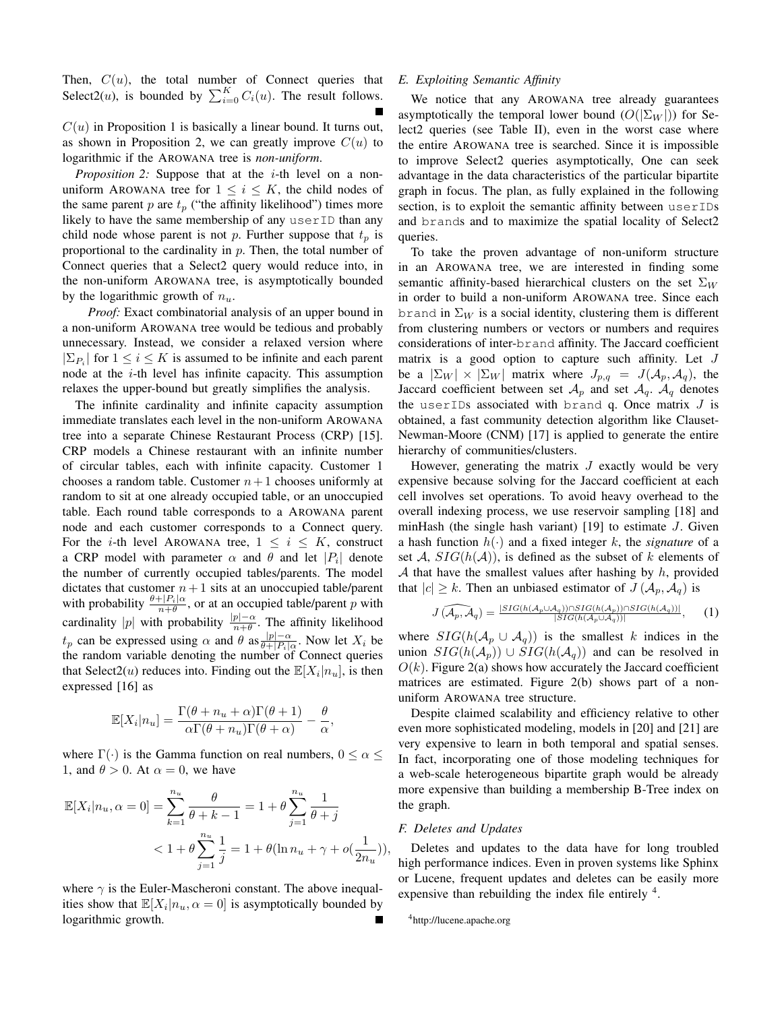Then,  $C(u)$ , the total number of Connect queries that Select2(*u*), is bounded by  $\sum_{i=0}^{K} C_i(u)$ . The result follows.

 $C(u)$  in Proposition 1 is basically a linear bound. It turns out, as shown in Proposition 2, we can greatly improve  $C(u)$  to logarithmic if the AROWANA tree is *non-uniform*.

*Proposition 2:* Suppose that at the *i*-th level on a nonuniform AROWANA tree for  $1 \leq i \leq K$ , the child nodes of the same parent p are  $t_p$  ("the affinity likelihood") times more likely to have the same membership of any userID than any child node whose parent is not p. Further suppose that  $t_p$  is proportional to the cardinality in  $p$ . Then, the total number of Connect queries that a Select2 query would reduce into, in the non-uniform AROWANA tree, is asymptotically bounded by the logarithmic growth of  $n_u$ .

*Proof:* Exact combinatorial analysis of an upper bound in a non-uniform AROWANA tree would be tedious and probably unnecessary. Instead, we consider a relaxed version where  $|\Sigma_{P_i}|$  for  $1 \le i \le K$  is assumed to be infinite and each parent node at the  $i$ -th level has infinite capacity. This assumption relaxes the upper-bound but greatly simplifies the analysis.

The infinite cardinality and infinite capacity assumption immediate translates each level in the non-uniform AROWANA tree into a separate Chinese Restaurant Process (CRP) [15]. CRP models a Chinese restaurant with an infinite number of circular tables, each with infinite capacity. Customer 1 chooses a random table. Customer  $n+1$  chooses uniformly at random to sit at one already occupied table, or an unoccupied table. Each round table corresponds to a AROWANA parent node and each customer corresponds to a Connect query. For the *i*-th level AROWANA tree,  $1 \le i \le K$ , construct a CRP model with parameter  $\alpha$  and  $\theta$  and let  $|P_i|$  denote the number of currently occupied tables/parents. The model dictates that customer  $n+1$  sits at an unoccupied table/parent with probability  $\frac{\theta + |P_i|\alpha}{n+\theta}$ , or at an occupied table/parent p with cardinality |p| with probability  $\frac{|p|-\alpha}{n+\theta}$ . The affinity likelihood  $t_p$  can be expressed using  $\alpha$  and  $\theta$  as  $\frac{|p| - \alpha}{\theta + |P_s|}$  $\frac{|p|-\alpha}{\theta+|P_i|\alpha}$ . Now let  $X_i$  be the random variable denoting the number of Connect queries that Select2(*u*) reduces into. Finding out the  $\mathbb{E}[X_i|n_u]$ , is then expressed [16] as

$$
\mathbb{E}[X_i|n_u] = \frac{\Gamma(\theta + n_u + \alpha)\Gamma(\theta + 1)}{\alpha\Gamma(\theta + n_u)\Gamma(\theta + \alpha)} - \frac{\theta}{\alpha}
$$

,

where  $\Gamma(\cdot)$  is the Gamma function on real numbers,  $0 \le \alpha \le$ 1, and  $\theta > 0$ . At  $\alpha = 0$ , we have

$$
\mathbb{E}[X_i|n_u, \alpha = 0] = \sum_{k=1}^{n_u} \frac{\theta}{\theta + k - 1} = 1 + \theta \sum_{j=1}^{n_u} \frac{1}{\theta + j}
$$
  
< 
$$
< 1 + \theta \sum_{j=1}^{n_u} \frac{1}{j} = 1 + \theta(\ln n_u + \gamma + o(\frac{1}{2n_u})),
$$

where  $\gamma$  is the Euler-Mascheroni constant. The above inequalities show that  $\mathbb{E}[X_i|n_u,\alpha=0]$  is asymptotically bounded by logarithmic growth.

#### *E. Exploiting Semantic Affinity*

We notice that any AROWANA tree already guarantees asymptotically the temporal lower bound  $(O(|\Sigma_W|))$  for Select2 queries (see Table II), even in the worst case where the entire AROWANA tree is searched. Since it is impossible to improve Select2 queries asymptotically, One can seek advantage in the data characteristics of the particular bipartite graph in focus. The plan, as fully explained in the following section, is to exploit the semantic affinity between userIDs and brands and to maximize the spatial locality of Select2 queries.

To take the proven advantage of non-uniform structure in an AROWANA tree, we are interested in finding some semantic affinity-based hierarchical clusters on the set  $\Sigma_W$ in order to build a non-uniform AROWANA tree. Since each brand in  $\Sigma_W$  is a social identity, clustering them is different from clustering numbers or vectors or numbers and requires considerations of inter-brand affinity. The Jaccard coefficient matrix is a good option to capture such affinity. Let J be a  $|\Sigma_W| \times |\Sigma_W|$  matrix where  $J_{p,q} = J(\mathcal{A}_p, \mathcal{A}_q)$ , the Jaccard coefficient between set  $A_p$  and set  $A_q$ .  $A_q$  denotes the userIDs associated with brand q. Once matrix  $J$  is obtained, a fast community detection algorithm like Clauset-Newman-Moore (CNM) [17] is applied to generate the entire hierarchy of communities/clusters.

However, generating the matrix  $J$  exactly would be very expensive because solving for the Jaccard coefficient at each cell involves set operations. To avoid heavy overhead to the overall indexing process, we use reservoir sampling [18] and minHash (the single hash variant) [19] to estimate  $J$ . Given a hash function  $h(\cdot)$  and a fixed integer k, the *signature* of a set A,  $SIG(h(A))$ , is defined as the subset of k elements of A that have the smallest values after hashing by  $h$ , provided that  $|c| \geq k$ . Then an unbiased estimator of  $J(\mathcal{A}_p, \mathcal{A}_q)$  is

$$
J(\widehat{A_p, A_q}) = \frac{|SIG(h(A_p \cup A_q)) \cap SIG(h(A_p)) \cap SIG(h(A_q))|}{|SIG(h(A_p \cup A_q))|}, \quad (1)
$$

where  $SIG(h(\mathcal{A}_p \cup \mathcal{A}_q))$  is the smallest k indices in the union  $SIG(h(\mathcal{A}_p)) \cup SIG(h(\mathcal{A}_q))$  and can be resolved in  $O(k)$ . Figure 2(a) shows how accurately the Jaccard coefficient matrices are estimated. Figure 2(b) shows part of a nonuniform AROWANA tree structure.

Despite claimed scalability and efficiency relative to other even more sophisticated modeling, models in [20] and [21] are very expensive to learn in both temporal and spatial senses. In fact, incorporating one of those modeling techniques for a web-scale heterogeneous bipartite graph would be already more expensive than building a membership B-Tree index on the graph.

# *F. Deletes and Updates*

Deletes and updates to the data have for long troubled high performance indices. Even in proven systems like Sphinx or Lucene, frequent updates and deletes can be easily more expensive than rebuilding the index file entirely  $4$ .

<sup>4</sup>http://lucene.apache.org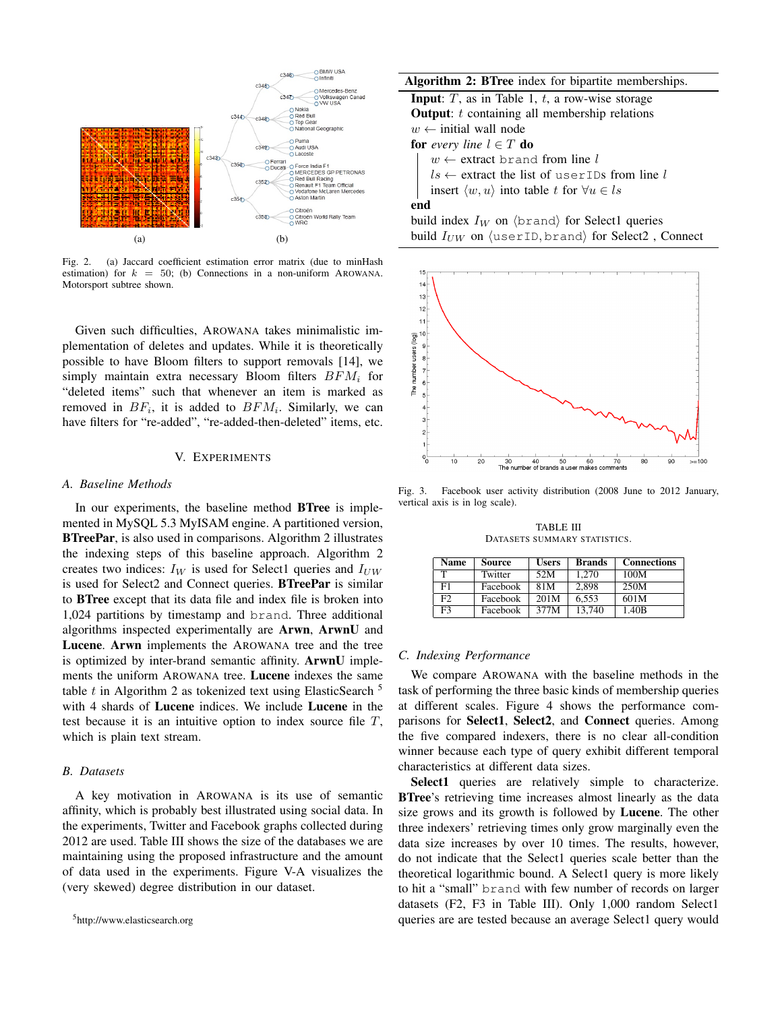

Fig. 2. (a) Jaccard coefficient estimation error matrix (due to minHash estimation) for  $k = 50$ ; (b) Connections in a non-uniform AROWANA. Motorsport subtree shown.

Given such difficulties, AROWANA takes minimalistic implementation of deletes and updates. While it is theoretically possible to have Bloom filters to support removals [14], we simply maintain extra necessary Bloom filters  $BFM_i$  for "deleted items" such that whenever an item is marked as removed in  $BF_i$ , it is added to  $BFM_i$ . Similarly, we can have filters for "re-added", "re-added-then-deleted" items, etc.

# V. EXPERIMENTS

#### *A. Baseline Methods*

In our experiments, the baseline method **BTree** is implemented in MySQL 5.3 MyISAM engine. A partitioned version, BTreePar, is also used in comparisons. Algorithm 2 illustrates the indexing steps of this baseline approach. Algorithm 2 creates two indices:  $I_W$  is used for Select1 queries and  $I_{UW}$ is used for Select2 and Connect queries. BTreePar is similar to BTree except that its data file and index file is broken into 1,024 partitions by timestamp and brand. Three additional algorithms inspected experimentally are Arwn, ArwnU and Lucene. Arwn implements the AROWANA tree and the tree is optimized by inter-brand semantic affinity. ArwnU implements the uniform AROWANA tree. Lucene indexes the same table t in Algorithm 2 as tokenized text using ElasticSearch  $^5$ with 4 shards of Lucene indices. We include Lucene in the test because it is an intuitive option to index source file  $T$ , which is plain text stream.

## *B. Datasets*

A key motivation in AROWANA is its use of semantic affinity, which is probably best illustrated using social data. In the experiments, Twitter and Facebook graphs collected during 2012 are used. Table III shows the size of the databases we are maintaining using the proposed infrastructure and the amount of data used in the experiments. Figure V-A visualizes the (very skewed) degree distribution in our dataset.

Algorithm 2: BTree index for bipartite memberships. **Input**:  $T$ , as in Table 1,  $t$ , a row-wise storage **Output:** t containing all membership relations  $w \leftarrow$  initial wall node **for** *every line*  $l \in T$  **do**  $w \leftarrow$  extract brand from line l  $ls \leftarrow$  extract the list of userIDs from line l insert  $\langle w, u \rangle$  into table t for  $\forall u \in \mathit{ls}$ end build index  $I_W$  on  $\langle$ brand $\rangle$  for Select1 queries build  $I_{UW}$  on (userID, brand) for Select2, Connect



Fig. 3. Facebook user activity distribution (2008 June to 2012 January, vertical axis is in log scale).

TABLE III DATASETS SUMMARY STATISTICS.

| <b>Name</b> | <b>Source</b> | <b>Users</b> | <b>Brands</b> | <b>Connections</b> |
|-------------|---------------|--------------|---------------|--------------------|
| т           | Twitter       | 52M          | 1.270         | 100M               |
| F1          | Facebook      | 81M          | 2.898         | 250M               |
| F2          | Facebook      | 201M         | 6.553         | 601M               |
| F3          | Facebook      | 377M         | 13.740        | 1.40B              |

#### *C. Indexing Performance*

We compare AROWANA with the baseline methods in the task of performing the three basic kinds of membership queries at different scales. Figure 4 shows the performance comparisons for Select1, Select2, and Connect queries. Among the five compared indexers, there is no clear all-condition winner because each type of query exhibit different temporal characteristics at different data sizes.

Select1 queries are relatively simple to characterize. **BTree**'s retrieving time increases almost linearly as the data size grows and its growth is followed by Lucene. The other three indexers' retrieving times only grow marginally even the data size increases by over 10 times. The results, however, do not indicate that the Select1 queries scale better than the theoretical logarithmic bound. A Select1 query is more likely to hit a "small" brand with few number of records on larger datasets (F2, F3 in Table III). Only 1,000 random Select1 queries are are tested because an average Select1 query would

<sup>5</sup>http://www.elasticsearch.org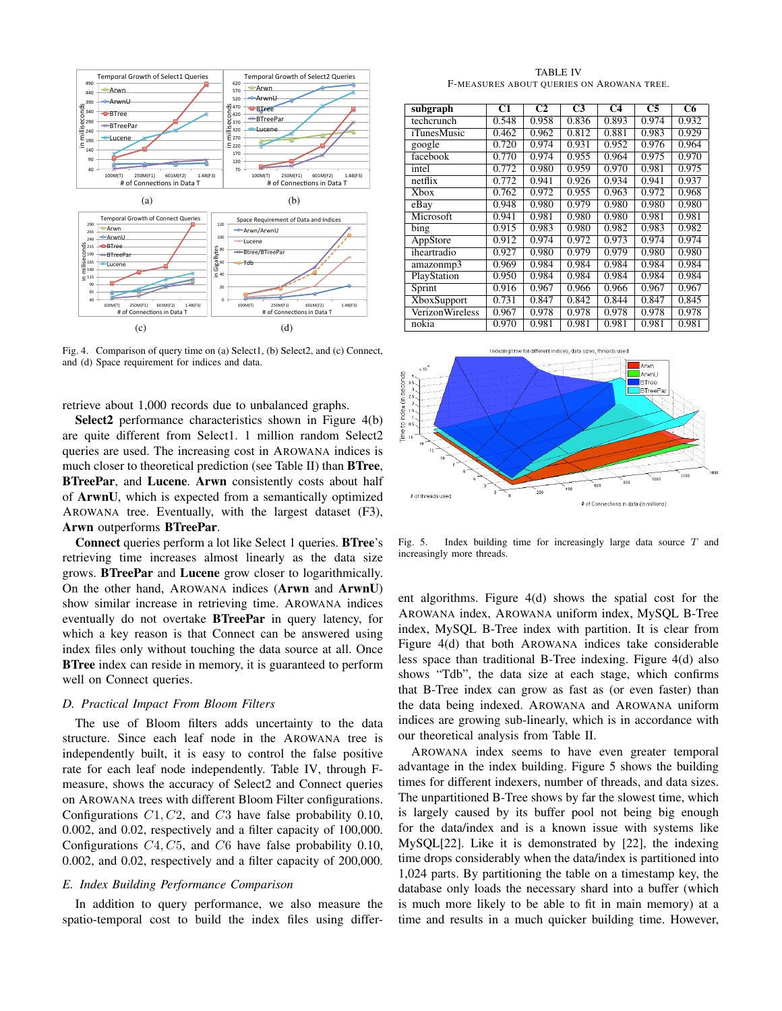

Fig. 4. Comparison of query time on (a) Select1, (b) Select2, and (c) Connect, and (d) Space requirement for indices and data.

retrieve about 1,000 records due to unbalanced graphs.

Select2 performance characteristics shown in Figure 4(b) are quite different from Select1. 1 million random Select2 queries are used. The increasing cost in AROWANA indices is much closer to theoretical prediction (see Table II) than BTree, BTreePar, and Lucene. Arwn consistently costs about half of ArwnU, which is expected from a semantically optimized AROWANA tree. Eventually, with the largest dataset (F3), Arwn outperforms BTreePar.

Connect queries perform a lot like Select 1 queries. BTree's retrieving time increases almost linearly as the data size grows. BTreePar and Lucene grow closer to logarithmically. On the other hand, AROWANA indices (Arwn and ArwnU) show similar increase in retrieving time. AROWANA indices eventually do not overtake **BTreePar** in query latency, for which a key reason is that Connect can be answered using index files only without touching the data source at all. Once **BTree** index can reside in memory, it is guaranteed to perform well on Connect queries.

# *D. Practical Impact From Bloom Filters*

The use of Bloom filters adds uncertainty to the data structure. Since each leaf node in the AROWANA tree is independently built, it is easy to control the false positive rate for each leaf node independently. Table IV, through Fmeasure, shows the accuracy of Select2 and Connect queries on AROWANA trees with different Bloom Filter configurations. Configurations  $C1, C2$ , and  $C3$  have false probability 0.10, 0.002, and 0.02, respectively and a filter capacity of 100,000. Configurations C4, C5, and C6 have false probability 0.10, 0.002, and 0.02, respectively and a filter capacity of 200,000.

# *E. Index Building Performance Comparison*

In addition to query performance, we also measure the spatio-temporal cost to build the index files using differ-

TABLE IV F-MEASURES ABOUT QUERIES ON AROWANA TREE.

| subgraph           | C1    | C <sub>2</sub>     | C3                 | C <sub>4</sub>     | C <sub>5</sub>     | C6    |
|--------------------|-------|--------------------|--------------------|--------------------|--------------------|-------|
| techcrunch         | 0.548 | 0.958              | 0.836              | 0.893              | 0.974              | 0.932 |
| iTunesMusic        | 0.462 | 0.962              | 0.812              | 0.881              | 0.983              | 0.929 |
| google             | 0.720 | 0.974              | 0.931              | 0.952              | 0.976              | 0.964 |
| facebook           | 0.770 | 0.974              | 0.955              | 0.964              | 0.975              | 0.970 |
| intel              | 0.772 | 0.980              | 0.959              | 0.970              | 0.981              | 0.975 |
| netflix            | 0.772 | 0.941              | 0.926              | 0.934              | 0.941              | 0.937 |
| Xbox               | 0.762 | 0.972              | 0.955              | 0.963              | 0.972              | 0.968 |
| eBay               | 0.948 | 0.980              | 0.979              | 0.980              | 0.980              | 0.980 |
| Microsoft          | 0.941 | 0.981              | 0.980              | 0.980              | 0.981              | 0.981 |
| bing               | 0.915 | 0.983              | 0.980              | 0.982              | 0.983              | 0.982 |
| AppStore           | 0.912 | 0.974              | 0.972              | 0.973              | 0.974              | 0.974 |
| iheartradio        | 0.927 | 0.980              | 0.979              | 0.979              | 0.980              | 0.980 |
| amazonmp3          | 0.969 | $\overline{0.984}$ | $\overline{0.984}$ | $\overline{0.984}$ | $\overline{0.984}$ | 0.984 |
| PlayStation        | 0.950 | 0.984              | 0.984              | 0.984              | 0.984              | 0.984 |
| Sprint             | 0.916 | 0.967              | 0.966              | 0.966              | 0.967              | 0.967 |
| <b>XboxSupport</b> | 0.731 | 0.847              | 0.842              | 0.844              | 0.847              | 0.845 |
| VerizonWireless    | 0.967 | 0.978              | 0.978              | 0.978              | 0.978              | 0.978 |
| nokia              | 0.970 | 0.981              | 0.981              | 0.981              | 0.981              | 0.981 |



Fig. 5. Index building time for increasingly large data source  $T$  and increasingly more threads.

ent algorithms. Figure 4(d) shows the spatial cost for the AROWANA index, AROWANA uniform index, MySQL B-Tree index, MySQL B-Tree index with partition. It is clear from Figure 4(d) that both AROWANA indices take considerable less space than traditional B-Tree indexing. Figure 4(d) also shows "Tdb", the data size at each stage, which confirms that B-Tree index can grow as fast as (or even faster) than the data being indexed. AROWANA and AROWANA uniform indices are growing sub-linearly, which is in accordance with our theoretical analysis from Table II.

AROWANA index seems to have even greater temporal advantage in the index building. Figure 5 shows the building times for different indexers, number of threads, and data sizes. The unpartitioned B-Tree shows by far the slowest time, which is largely caused by its buffer pool not being big enough for the data/index and is a known issue with systems like MySQL[22]. Like it is demonstrated by [22], the indexing time drops considerably when the data/index is partitioned into 1,024 parts. By partitioning the table on a timestamp key, the database only loads the necessary shard into a buffer (which is much more likely to be able to fit in main memory) at a time and results in a much quicker building time. However,